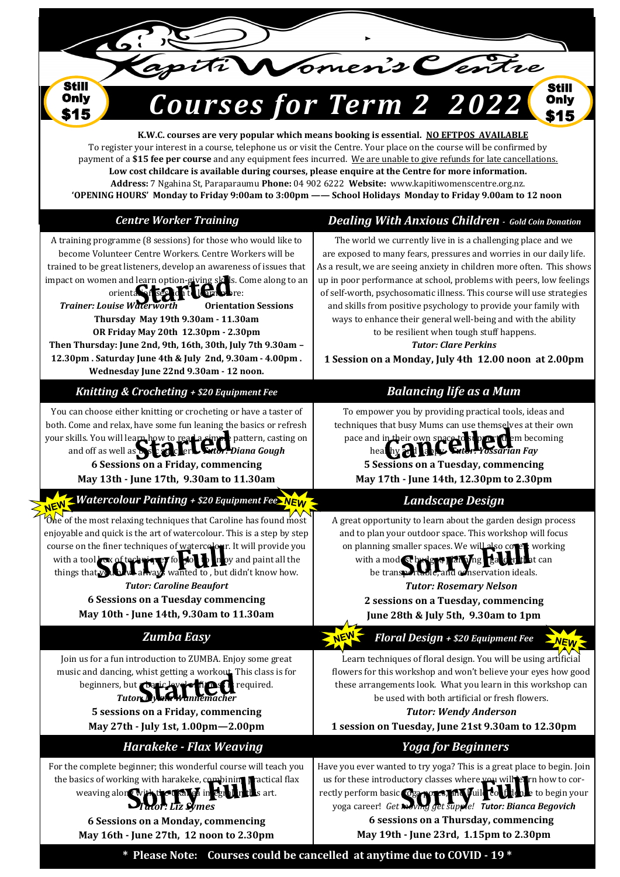nen's Centre

Still **Only** \$15

**K.W.C. courses are very popular which means booking is essential. NO EFTPOS AVAILABLE** To register your interest in a course, telephone us or visit the Centre. Your place on the course will be confirmed by payment of a **\$15 fee per course** and any equipment fees incurred. We are unable to give refunds for late cancellations. **Low cost childcare is available during courses, please enquire at the Centre for more information. Address:** 7 Ngahina St, Paraparaumu **Phone:** 04 902 6222 **Website:** www.kapitiwomenscentre.org.nz. **'OPENING HOURS' Monday to Friday 9:00am to 3:00pm —— School Holidays Monday to Friday 9.00am to 12 noon** 

*<u>UISES</u> for Term* 

**Still Only** \$15

| <b>Centre Worker Training</b>                                                                                                                                                                                                                                                                                                                                                                                                                                                                                                                                                 | <b>Dealing With Anxious Children</b> - Gold Coin Donation                                                                                                                                                                                                                                                                                                                                                                                                                                                                                                                                                                            |
|-------------------------------------------------------------------------------------------------------------------------------------------------------------------------------------------------------------------------------------------------------------------------------------------------------------------------------------------------------------------------------------------------------------------------------------------------------------------------------------------------------------------------------------------------------------------------------|--------------------------------------------------------------------------------------------------------------------------------------------------------------------------------------------------------------------------------------------------------------------------------------------------------------------------------------------------------------------------------------------------------------------------------------------------------------------------------------------------------------------------------------------------------------------------------------------------------------------------------------|
| A training programme (8 sessions) for those who would like to<br>become Volunteer Centre Workers. Centre Workers will be<br>trained to be great listeners, develop an awareness of issues that<br>impact on women and learn option-giving skils. Come along to an<br>orienta silsed of telephone:<br><b>Trainer: Louise Waterworth</b><br><b>Orientation Sessions</b><br>Thursday May 19th 9.30am - 11.30am<br>OR Friday May 20th 12.30pm - 2.30pm<br>Then Thursday: June 2nd, 9th, 16th, 30th, July 7th 9.30am -<br>12.30pm . Saturday June 4th & July 2nd, 9.30am - 4.00pm. | The world we currently live in is a challenging place and we<br>are exposed to many fears, pressures and worries in our daily life.<br>As a result, we are seeing anxiety in children more often. This shows<br>up in poor performance at school, problems with peers, low feelings<br>of self-worth, psychosomatic illness. This course will use strategies<br>and skills from positive psychology to provide your family with<br>ways to enhance their general well-being and with the ability<br>to be resilient when tough stuff happens.<br><b>Tutor: Clare Perkins</b><br>1 Session on a Monday, July 4th 12.00 noon at 2.00pm |
| Wednesday June 22nd 9.30am - 12 noon.                                                                                                                                                                                                                                                                                                                                                                                                                                                                                                                                         |                                                                                                                                                                                                                                                                                                                                                                                                                                                                                                                                                                                                                                      |
| Knitting & Crocheting + \$20 Equipment Fee                                                                                                                                                                                                                                                                                                                                                                                                                                                                                                                                    | <b>Balancing life as a Mum</b>                                                                                                                                                                                                                                                                                                                                                                                                                                                                                                                                                                                                       |
| You can choose either knitting or crocheting or have a taster of<br>both. Come and relax, have some fun leaning the basics or refresh<br>your skills. You will learn how to real a simple pattern, casting on<br>and off as well as Description Fator: Diana Gough<br>6 Sessions on a Friday, commencing<br>May 13th - June 17th, 9.30am to 11.30am                                                                                                                                                                                                                           | To empower you by providing practical tools, ideas and<br>techniques that busy Mums can use themselves at their own<br>pace and in their own space to support them becoming<br><b>Futor: Yossarian Fay</b><br>healthy 2011<br>5 Sessions on a Tuesday, commencing<br>May 17th - June 14th, 12.30pm to 2.30pm                                                                                                                                                                                                                                                                                                                         |
| NEW - Watercolour Painting + \$20 Equipment Fee NEW                                                                                                                                                                                                                                                                                                                                                                                                                                                                                                                           | <b>Landscape Design</b>                                                                                                                                                                                                                                                                                                                                                                                                                                                                                                                                                                                                              |
| One of the most relaxing techniques that Caroline has found most<br>enjoyable and quick is the art of watercolour. This is a step by step<br>course on the finer techniques of watercelour. It will provide you<br>with a tool low of technique T for the<br>n oy and paint all the<br>things that you bave always wanted to, but didn't know how.<br><b>Tutor: Caroline Beaufort</b><br>6 Sessions on a Tuesday commencing<br>May 10th - June 14th, 9.30am to 11.30am                                                                                                        | A great opportunity to learn about the garden design process<br>and to plan your outdoor space. This workshop will focus<br>on planning smaller spaces. We will also cover: working<br>with a mod St brdges Tarying Balchi<br>that can<br>be transportable, and conservation ideals.<br><b>Tutor: Rosemary Nelson</b><br>2 sessions on a Tuesday, commencing<br>June 28th & July 5th, 9.30am to 1pm                                                                                                                                                                                                                                  |
| <b>Zumba Easy</b>                                                                                                                                                                                                                                                                                                                                                                                                                                                                                                                                                             | Floral Design + \$20 Equipment Fee<br><b>NEW</b>                                                                                                                                                                                                                                                                                                                                                                                                                                                                                                                                                                                     |
| Join us for a fun introduction to ZUMBA. Enjoy some great<br>music and dancing, whist getting a workout. This class is for<br>beginners, but Daric level of times<br>required.<br><b>Tutory IV</b><br>r <del>a</del> nnemacher<br>5 sessions on a Friday, commencing<br>May 27th - July 1st, 1.00pm-2.00pm                                                                                                                                                                                                                                                                    | Learn techniques of floral design. You will be using artificial<br>flowers for this workshop and won't believe your eyes how good<br>these arrangements look. What you learn in this workshop can<br>be used with both artificial or fresh flowers.<br><b>Tutor: Wendy Anderson</b><br>1 session on Tuesday, June 21st 9.30am to 12.30pm                                                                                                                                                                                                                                                                                             |
|                                                                                                                                                                                                                                                                                                                                                                                                                                                                                                                                                                               |                                                                                                                                                                                                                                                                                                                                                                                                                                                                                                                                                                                                                                      |
| Harakeke - Flax Weaving<br>For the complete beginner; this wonderful course will teach you<br>the basics of working with harakeke, combining practical flax<br>weaving along with then kall of in eg<br>in this art.<br>6 Sessions on a Monday, commencing<br>May 16th - June 27th, 12 noon to 2.30pm                                                                                                                                                                                                                                                                         | <b>Yoga for Beginners</b><br>Have you ever wanted to try yoga? This is a great place to begin. Join<br>us for these introductory classes where you will earn how to cor-<br>rectly perform basic @g2 porce, my Juil count to begin your<br>yoga career! Get weving get supple! Tutor: Bianca Begovich<br>6 sessions on a Thursday, commencing<br>May 19th - June 23rd, 1.15pm to 2.30pm                                                                                                                                                                                                                                              |
|                                                                                                                                                                                                                                                                                                                                                                                                                                                                                                                                                                               | * Please Note: Courses could be cancelled at anytime due to COVID - 19 *                                                                                                                                                                                                                                                                                                                                                                                                                                                                                                                                                             |
|                                                                                                                                                                                                                                                                                                                                                                                                                                                                                                                                                                               |                                                                                                                                                                                                                                                                                                                                                                                                                                                                                                                                                                                                                                      |